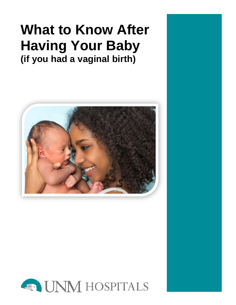# **What to Know After Having Your Baby (if you had a vaginal birth)**



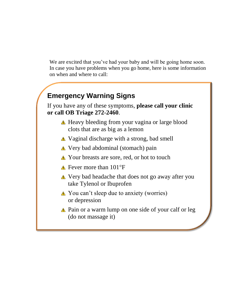We are excited that you've had your baby and will be going home soon. In case you have problems when you go home, here is some information on when and where to call:

## **Emergency Warning Signs**

If you have any of these symptoms, **please call your clinic or call OB Triage 272-2460**.

- A Heavy bleeding from your vagina or large blood clots that are as big as a lemon
- Vaginal discharge with a strong, bad smell
- Very bad abdominal (stomach) pain
- Your breasts are sore, red, or hot to touch
- $\triangle$  Fever more than 101°F
- Very bad headache that does not go away after you take Tylenol or Ibuprofen
- **△** You can't sleep due to anxiety (worries) or depression
- **△** Pain or a warm lump on one side of your calf or leg (do not massage it)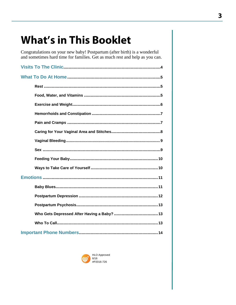# **What's in This Booklet**

Congratulations on your new baby! Postpartum (after birth) is a wonderful and sometimes hard time for families. Get as much rest and help as you can.

| Who Gets Depressed After Having a Baby? 13 |  |
|--------------------------------------------|--|
|                                            |  |
|                                            |  |

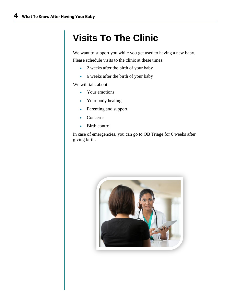# **Visits To The Clinic**

We want to support you while you get used to having a new baby. Please schedule visits to the clinic at these times:

- 2 weeks after the birth of your baby
- 6 weeks after the birth of your baby

We will talk about:

- Your emotions
- Your body healing
- Parenting and support
- Concerns
- Birth control

In case of emergencies, you can go to OB Triage for 6 weeks after giving birth.

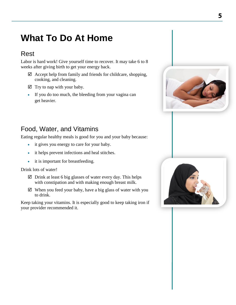## **What To Do At Home**

### Rest

Labor is hard work! Give yourself time to recover. It may take 6 to 8 weeks after giving birth to get your energy back.

- $\boxtimes$  Accept help from family and friends for childcare, shopping, cooking, and cleaning.
- $\boxtimes$  Try to nap with your baby.
- If you do too much, the bleeding from your vagina can get heavier.



## Food, Water, and Vitamins

Eating regular healthy meals is good for you and your baby because:

- it gives you energy to care for your baby.
- it helps prevent infections and heal stitches.
- it is important for breastfeeding.

Drink lots of water!

- $\boxtimes$  Drink at least 6 big glasses of water every day. This helps with constipation and with making enough breast milk.
- $\boxtimes$  When you feed your baby, have a big glass of water with you to drink.

Keep taking your vitamins. It is especially good to keep taking iron if your provider recommended it.

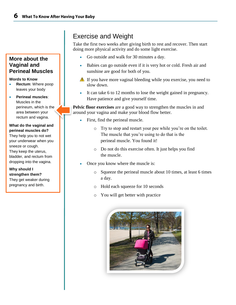#### **More about the Vaginal and Perineal Muscles**

#### **Words to Know**

- **Rectum**: Where poop leaves your body
- **Perineal muscles**: Muscles in the perineum, which is the area between your rectum and vagina.

#### **What do the vaginal and perineal muscles do?**

They help you to not wet your underwear when you sneeze or cough. They keep the uterus, bladder, and rectum from dropping into the vagina.

**Why should I strengthen them?** They get weaker during pregnancy and birth.

## Exercise and Weight

Take the first two weeks after giving birth to rest and recover. Then start doing more physical activity and do some light exercise.

- Go outside and walk for 30 minutes a day.
- Babies can go outside even if it is very hot or cold. Fresh air and sunshine are good for both of you.
- $\triangle$  If you have more vaginal bleeding while you exercise, you need to slow down.
- It can take 6 to 12 months to lose the weight gained in pregnancy. Have patience and give yourself time.

**Pelvic floor exercises** are a good way to strengthen the muscles in and around your vagina and make your blood flow better.

- First, find the perineal muscle.
	- o Try to stop and restart your pee while you're on the toilet. The muscle that you're using to do that is the perineal muscle. You found it!
	- o Do not do this exercise often. It just helps you find the muscle.
- Once you know where the muscle is:
	- o Squeeze the perineal muscle about 10 times, at least 6 times a day.
	- o Hold each squeeze for 10 seconds
	- o You will get better with practice

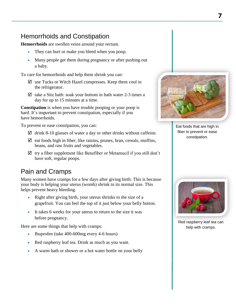### Hemorrhoids and Constipation

**Hemorrhoids** are swollen veins around your rectum.

- They can hurt or make you bleed when you poop.
- Many people get them during pregnancy or after pushing out a baby.

To care for hemorrhoids and help them shrink you can:

- $\boxtimes$  use Tucks or Witch Hazel compresses. Keep them cool in the refrigerator.
- $\boxtimes$  take a Sitz bath: soak your bottom in bath water 2-3 times a day for up to 15 minutes at a time.

**Constipation** is when you have trouble pooping or your poop is hard. It's important to prevent constipation, especially if you have hemorrhoids.

To prevent or ease constipation, you can:

- $\boxtimes$  drink 8-10 glasses of water a day or other drinks without caffeine.
- $\boxtimes$  eat foods high in fiber, like raisins, prunes, bran, cereals, muffins, beans, and raw fruits and vegetables.
- $\boxtimes$  try a fiber supplement like Benefiber or Metamucil if you still don't have soft, regular poops.

### Pain and Cramps

Many women have cramps for a few days after giving birth. This is because your body is helping your uterus (womb) shrink to its normal size. This helps prevent heavy bleeding.

- Right after giving birth, your uterus shrinks to the size of a grapefruit. You can feel the top of it just below your belly button.
- It takes 6 weeks for your uterus to return to the size it was before pregnancy.

Here are some things that help with cramps:

- Ibuprofen (take 400-600mg every 4-6 hours)
- Red raspberry leaf tea. Drink as much as you want.
- A warm bath or shower or a hot water bottle on your belly



Eat foods that are high in fiber to prevent or ease constipation.



Red raspberry leaf tea can help with cramps.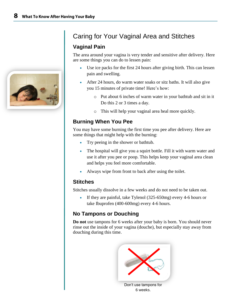

## Caring for Your Vaginal Area and Stitches

#### **Vaginal Pain**

The area around your vagina is very tender and sensitive after delivery. Here are some things you can do to lessen pain:

- Use ice packs for the first 24 hours after giving birth. This can lessen pain and swelling.
- After 24 hours, do warm water soaks or sitz baths. It will also give you 15 minutes of private time! Here's how:
	- o Put about 6 inches of warm water in your bathtub and sit in it Do this 2 or 3 times a day.
	- o This will help your vaginal area heal more quickly.

### **Burning When You Pee**

You may have some burning the first time you pee after delivery. Here are some things that might help with the burning:

- Try peeing in the shower or bathtub.
- The hospital will give you a squirt bottle. Fill it with warm water and use it after you pee or poop. This helps keep your vaginal area clean and helps you feel more comfortable.
- Always wipe from front to back after using the toilet.

#### **Stitches**

Stitches usually dissolve in a few weeks and do not need to be taken out.

 If they are painful, take Tylenol (325-650mg) every 4-6 hours or take Ibuprofen (400-600mg) every 4-6 hours.

### **No Tampons or Douching**

**Do not** use tampons for 6 weeks after your baby is born. You should never rinse out the inside of your vagina (douche), but especially stay away from douching during this time.



6 weeks.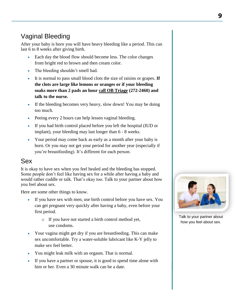## Vaginal Bleeding

After your baby is born you will have heavy bleeding like a period. This can last 6 to 8 weeks after giving birth.

- Each day the blood flow should become less. The color changes from bright red to brown and then cream color.
- The bleeding shouldn't smell bad.
- It is normal to pass small blood clots the size of raisins or grapes. **If the clots are large like lemons or oranges or if your bleeding soaks more than 2 pads an hour call OB Triage (272-2460) and talk to the nurse.**
- If the bleeding becomes very heavy, slow down! You may be doing too much.
- Peeing every 2 hours can help lessen vaginal bleeding.
- If you had birth control placed before you left the hospital (IUD or implant), your bleeding may last longer than 6 - 8 weeks.
- Your period may come back as early as a month after your baby is born. Or you may not get your period for another year (especially if you're breastfeeding). It's different for each person.

### Sex

It is okay to have sex when you feel healed and the bleeding has stopped. Some people don't feel like having sex for a while after having a baby and would rather cuddle or talk. That's okay too. Talk to your partner about how you feel about sex.

Here are some other things to know.

- If you have sex with men, use birth control before you have sex. You can get pregnant very quickly after having a baby, even before your first period.
	- o If you have not started a birth control method yet, use condoms.
- Your vagina might get dry if you are breastfeeding. This can make sex uncomfortable. Try a water-soluble lubricant like K-Y jelly to make sex feel better.
- You might leak milk with an orgasm. That is normal.
- If you have a partner or spouse, it is good to spend time alone with him or her. Even a 30 minute walk can be a date.



Talk to your partner about how you feel about sex.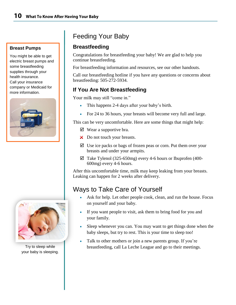#### **Breast Pumps**

You might be able to get electric breast pumps and some breastfeeding supplies through your health insurance. Call your insurance company or Medicaid for more information.





Try to sleep while your baby is sleeping.

## Feeding Your Baby

#### **Breastfeeding**

Congratulations for breastfeeding your baby! We are glad to help you continue breastfeeding.

For breastfeeding information and resources, see our other handouts.

Call our breastfeeding hotline if you have any questions or concerns about breastfeeding: 505-272-5934.

#### **If You Are Not Breastfeeding**

Your milk may still "come in."

- This happens 2-4 days after your baby's birth.
- For 24 to 36 hours, your breasts will become very full and large.

This can be very uncomfortable. Here are some things that might help:

- $\boxtimes$  Wear a supportive bra.
- X Do not touch your breasts.
- $\boxtimes$  Use ice packs or bags of frozen peas or corn. Put them over your breasts and under your armpits.
- $\boxtimes$  Take Tylenol (325-650mg) every 4-6 hours or Ibuprofen (400-600mg) every 4-6 hours.

After this uncomfortable time, milk may keep leaking from your breasts. Leaking can happen for 2 weeks after delivery.

## Ways to Take Care of Yourself

- Ask for help. Let other people cook, clean, and run the house. Focus on yourself and your baby.
- If you want people to visit, ask them to bring food for you and your family.
- Sleep whenever you can. You may want to get things done when the baby sleeps, but try to rest. This is your time to sleep too!
- Talk to other mothers or join a new parents group. If you're breastfeeding, call La Leche League and go to their meetings.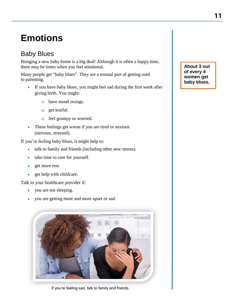# **Emotions**

## Baby Blues

Bringing a new baby home is a big deal! Although it is often a happy time, there may be times when you feel emotional.

Many people get "baby blues". They are a normal part of getting used to parenting.

- If you have baby blues, you might feel sad during the first week after giving birth. You might:
	- o have mood swings.
	- o get tearful.
	- o feel grumpy or worried.
- These feelings get worse if you are tired or anxious (nervous, stressed).

If you're feeling baby blues, it might help to:

- talk to family and friends (including other new moms).
- take time to care for yourself.
- get more rest.
- get help with childcare.

Talk to your healthcare provider if:

- you are not sleeping.
- you are getting more and more upset or sad.



If you're feeling sad, talk to family and friends.

**About 3 out of every 4 women get baby blues.**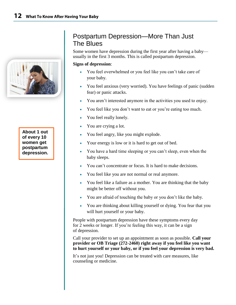

Some women have depression during the first year after having a baby usually in the first 3 months. This is called postpartum depression.

#### **Signs of depression**:

- You feel overwhelmed or you feel like you can't take care of your baby.
- You feel anxious (very worried). You have feelings of panic (sudden fear) or panic attacks.
- You aren't interested anymore in the activities you used to enjoy.
- You feel like you don't want to eat or you're eating too much.
- You feel really lonely.
- You are crying a lot.
- You feel angry, like you might explode.
- Your energy is low or it is hard to get out of bed.
- You have a hard time sleeping or you can't sleep, even when the baby sleeps.
- You can't concentrate or focus. It is hard to make decisions.
- You feel like you are not normal or real anymore.
- You feel like a failure as a mother. You are thinking that the baby might be better off without you.
- You are afraid of touching the baby or you don't like the baby.
- You are thinking about killing yourself or dying. You fear that you will hurt yourself or your baby.

People with postpartum depression have these symptoms every day for 2 weeks or longer. If you're feeling this way, it can be a sign of depression.

Call your provider to set up an appointment as soon as possible. **Call your provider or OB Triage (272-2460) right away if you feel like you want to hurt yourself or your baby, or if you feel your depression is very bad.**

It's not just you! Depression can be treated with care measures, like counseling or medicine.

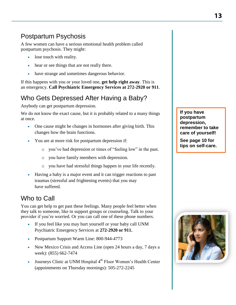## Postpartum Psychosis

A few women can have a serious emotional health problem called postpartum psychosis. They might:

- lose touch with reality.
- hear or see things that are not really there.
- have strange and sometimes dangerous behavior.

If this happens with you or your loved one, **get help right away**. This is an emergency. **Call Psychiatric Emergency Services at 272-2920 or 911**.

## Who Gets Depressed After Having a Baby?

Anybody can get postpartum depression.

We do not know the exact cause, but it is probably related to a many things at once.

- One cause might be changes in hormones after giving birth. This changes how the brain functions.
- You are at more risk for postpartum depression if:
	- o you've had depression or times of "feeling low" in the past.
	- o you have family members with depression.
	- o you have had stressful things happen in your life recently.
- Having a baby is a major event and it can trigger reactions to past traumas (stressful and frightening events) that you may have suffered.

## Who to Call

You can get help to get past these feelings. Many people feel better when they talk to someone, like in support groups or counseling. Talk to your provider if you're worried. Or you can call one of these phone numbers.

- If you feel like you may hurt yourself or your baby call UNM Psychiatric Emergency Services at **272-2920 or 911.**
- Postpartum Support Warm Line: 800-944-4773
- New Mexico Crisis and Access Line (open 24 hours a day, 7 days a week): (855) 662-7474
- Journeys Clinic at UNM Hospital 4<sup>th</sup> Floor Women's Health Center (appointments on Thursday mornings): 505-272-2245

**If you have postpartum depression, remember to take care of yourself!** 

**See page 10 for tips on self-care.**